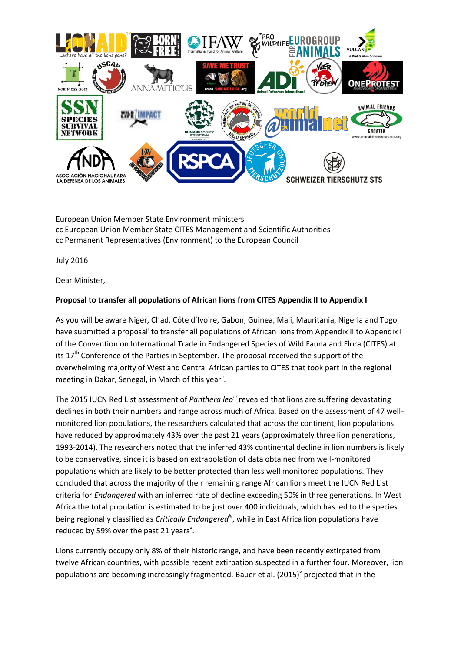

European Union Member State Environment ministers cc European Union Member State CITES Management and Scientific Authorities cc Permanent Representatives (Environment) to the European Council

July 2016

Dear Minister,

## **Proposal to transfer all populations of African lions from CITES Appendix II to Appendix I**

As you will be aware Niger, Chad, Côte d'Ivoire, Gabon, Guinea, Mali, Mauritania, Nigeria and Togo have submitted a proposal<sup>i</sup> to transfer all populations of African lions from Appendix II to Appendix I of the Convention on International Trade in Endangered Species of Wild Fauna and Flora (CITES) at its 17<sup>th</sup> Conference of the Parties in September. The proposal received the support of the overwhelming majority of West and Central African parties to CITES that took part in the regional meeting in Dakar, Senegal, in March of this year<sup>ii</sup>.

The 2015 IUCN Red List assessment of *Panthera leoiii* revealed that lions are suffering devastating declines in both their numbers and range across much of Africa. Based on the assessment of 47 wellmonitored lion populations, the researchers calculated that across the continent, lion populations have reduced by approximately 43% over the past 21 years (approximately three lion generations, 1993-2014). The researchers noted that the inferred 43% continental decline in lion numbers is likely to be conservative, since it is based on extrapolation of data obtained from well-monitored populations which are likely to be better protected than less well monitored populations. They concluded that across the majority of their remaining range African lions meet the IUCN Red List criteria for *Endangered* with an inferred rate of decline exceeding 50% in three generations. In West Africa the total population is estimated to be just over 400 individuals, which has led to the species being regionally classified as *Critically Endangerediv* , while in East Africa lion populations have reduced by 59% over the past 21 years<sup>v</sup>.

Lions currently occupy only 8% of their historic range, and have been recently extirpated from twelve African countries, with possible recent extirpation suspected in a further four. Moreover, lion populations are becoming increasingly fragmented. Bauer et al. (2015)<sup>V</sup> projected that in the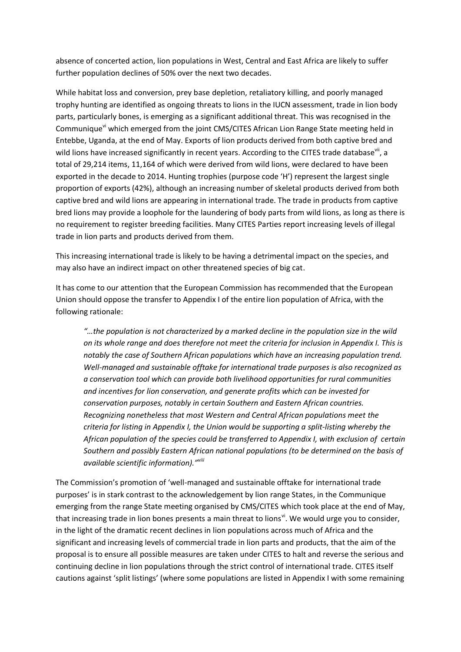absence of concerted action, lion populations in West, Central and East Africa are likely to suffer further population declines of 50% over the next two decades.

While habitat loss and conversion, prey base depletion, retaliatory killing, and poorly managed trophy hunting are identified as ongoing threats to lions in the IUCN assessment, trade in lion body parts, particularly bones, is emerging as a significant additional threat. This was recognised in the Communique<sup>vi</sup> which emerged from the joint CMS/CITES African Lion Range State meeting held in Entebbe, Uganda, at the end of May. Exports of lion products derived from both captive bred and wild lions have increased significantly in recent years. According to the CITES trade database<sup>vii</sup>, a total of 29,214 items, 11,164 of which were derived from wild lions, were declared to have been exported in the decade to 2014. Hunting trophies (purpose code 'H') represent the largest single proportion of exports (42%), although an increasing number of skeletal products derived from both captive bred and wild lions are appearing in international trade. The trade in products from captive bred lions may provide a loophole for the laundering of body parts from wild lions, as long as there is no requirement to register breeding facilities. Many CITES Parties report increasing levels of illegal trade in lion parts and products derived from them.

This increasing international trade is likely to be having a detrimental impact on the species, and may also have an indirect impact on other threatened species of big cat.

It has come to our attention that the European Commission has recommended that the European Union should oppose the transfer to Appendix I of the entire lion population of Africa, with the following rationale:

*"…the population is not characterized by a marked decline in the population size in the wild on its whole range and does therefore not meet the criteria for inclusion in Appendix I. This is notably the case of Southern African populations which have an increasing population trend. Well-managed and sustainable offtake for international trade purposes is also recognized as a conservation tool which can provide both livelihood opportunities for rural communities and incentives for lion conservation, and generate profits which can be invested for conservation purposes, notably in certain Southern and Eastern African countries. Recognizing nonetheless that most Western and Central African populations meet the criteria for listing in Appendix I, the Union would be supporting a split-listing whereby the African population of the species could be transferred to Appendix I, with exclusion of certain Southern and possibly Eastern African national populations (to be determined on the basis of available scientific information)."viii*

The Commission's promotion of 'well-managed and sustainable offtake for international trade purposes' is in stark contrast to the acknowledgement by lion range States, in the Communique emerging from the range State meeting organised by CMS/CITES which took place at the end of May, that increasing trade in lion bones presents a main threat to lions<sup>vi</sup>. We would urge you to consider, in the light of the dramatic recent declines in lion populations across much of Africa and the significant and increasing levels of commercial trade in lion parts and products, that the aim of the proposal is to ensure all possible measures are taken under CITES to halt and reverse the serious and continuing decline in lion populations through the strict control of international trade. CITES itself cautions against 'split listings' (where some populations are listed in Appendix I with some remaining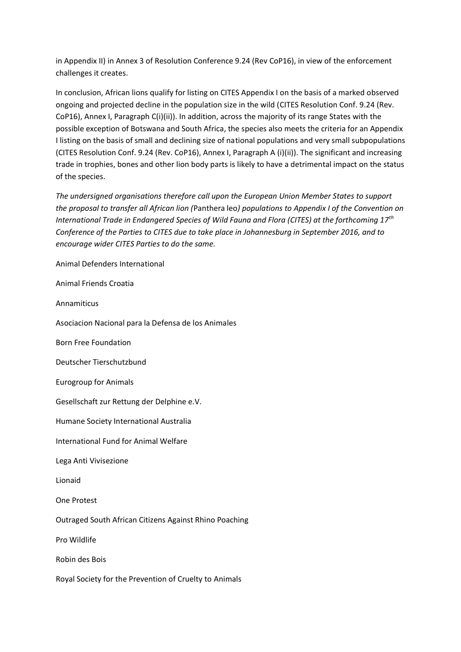in Appendix II) in Annex 3 of Resolution Conference 9.24 (Rev CoP16), in view of the enforcement challenges it creates.

In conclusion, African lions qualify for listing on CITES Appendix I on the basis of a marked observed ongoing and projected decline in the population size in the wild (CITES Resolution Conf. 9.24 (Rev. CoP16), Annex I, Paragraph C(i)(ii)). In addition, across the majority of its range States with the possible exception of Botswana and South Africa, the species also meets the criteria for an Appendix I listing on the basis of small and declining size of national populations and very small subpopulations (CITES Resolution Conf. 9.24 (Rev. CoP16), Annex I, Paragraph A (i)(ii)). The significant and increasing trade in trophies, bones and other lion body parts is likely to have a detrimental impact on the status of the species.

*The undersigned organisations therefore call upon the European Union Member States to support the proposal to transfer all African lion (*Panthera leo*) populations to Appendix I of the Convention on International Trade in Endangered Species of Wild Fauna and Flora (CITES) at the forthcoming 17th Conference of the Parties to CITES due to take place in Johannesburg in September 2016, and to encourage wider CITES Parties to do the same.*

Animal Defenders International

Animal Friends Croatia

Annamiticus

Asociacion Nacional para la Defensa de los Animales

Born Free Foundation

Deutscher Tierschutzbund

Eurogroup for Animals

Gesellschaft zur Rettung der Delphine e.V.

Humane Society International Australia

International Fund for Animal Welfare

Lega Anti Vivisezione

Lionaid

One Protest

Outraged South African Citizens Against Rhino Poaching

Pro Wildlife

Robin des Bois

Royal Society for the Prevention of Cruelty to Animals